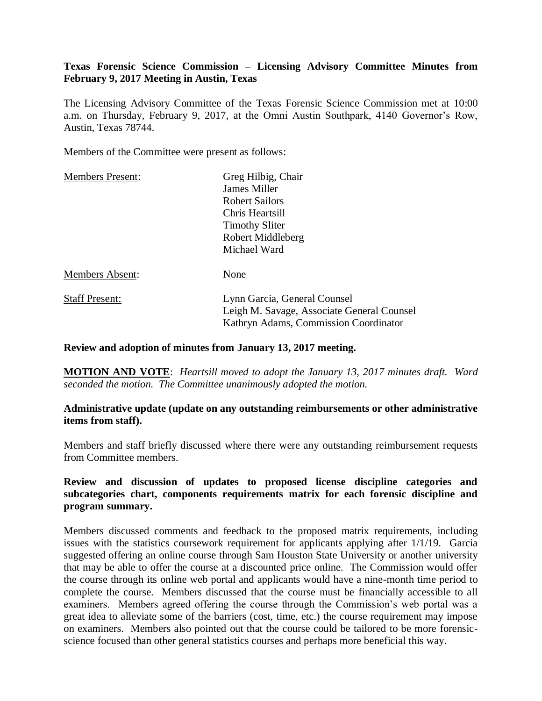# **Texas Forensic Science Commission – Licensing Advisory Committee Minutes from February 9, 2017 Meeting in Austin, Texas**

The Licensing Advisory Committee of the Texas Forensic Science Commission met at 10:00 a.m. on Thursday, February 9, 2017, at the Omni Austin Southpark, 4140 Governor's Row, Austin, Texas 78744.

Members of the Committee were present as follows:

| Greg Hilbig, Chair                                                                  |
|-------------------------------------------------------------------------------------|
| James Miller                                                                        |
| <b>Robert Sailors</b>                                                               |
| Chris Heartsill                                                                     |
| <b>Timothy Sliter</b>                                                               |
| Robert Middleberg                                                                   |
| Michael Ward                                                                        |
| None                                                                                |
| Lynn Garcia, General Counsel                                                        |
| Leigh M. Savage, Associate General Counsel<br>Kathryn Adams, Commission Coordinator |
|                                                                                     |

#### **Review and adoption of minutes from January 13, 2017 meeting.**

**MOTION AND VOTE**: *Heartsill moved to adopt the January 13, 2017 minutes draft. Ward seconded the motion. The Committee unanimously adopted the motion.*

### **Administrative update (update on any outstanding reimbursements or other administrative items from staff).**

Members and staff briefly discussed where there were any outstanding reimbursement requests from Committee members.

## **Review and discussion of updates to proposed license discipline categories and subcategories chart, components requirements matrix for each forensic discipline and program summary.**

Members discussed comments and feedback to the proposed matrix requirements, including issues with the statistics coursework requirement for applicants applying after 1/1/19. Garcia suggested offering an online course through Sam Houston State University or another university that may be able to offer the course at a discounted price online. The Commission would offer the course through its online web portal and applicants would have a nine-month time period to complete the course. Members discussed that the course must be financially accessible to all examiners. Members agreed offering the course through the Commission's web portal was a great idea to alleviate some of the barriers (cost, time, etc.) the course requirement may impose on examiners. Members also pointed out that the course could be tailored to be more forensicscience focused than other general statistics courses and perhaps more beneficial this way.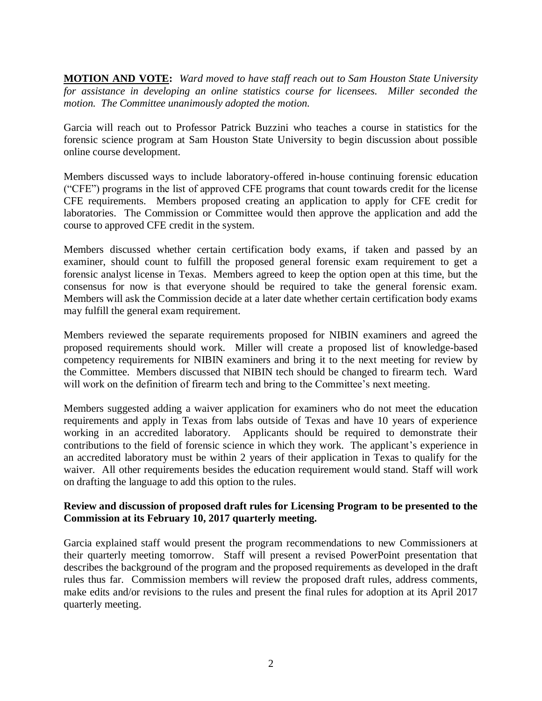**MOTION AND VOTE:** *Ward moved to have staff reach out to Sam Houston State University for assistance in developing an online statistics course for licensees. Miller seconded the motion. The Committee unanimously adopted the motion.*

Garcia will reach out to Professor Patrick Buzzini who teaches a course in statistics for the forensic science program at Sam Houston State University to begin discussion about possible online course development.

Members discussed ways to include laboratory-offered in-house continuing forensic education ("CFE") programs in the list of approved CFE programs that count towards credit for the license CFE requirements. Members proposed creating an application to apply for CFE credit for laboratories. The Commission or Committee would then approve the application and add the course to approved CFE credit in the system.

Members discussed whether certain certification body exams, if taken and passed by an examiner, should count to fulfill the proposed general forensic exam requirement to get a forensic analyst license in Texas. Members agreed to keep the option open at this time, but the consensus for now is that everyone should be required to take the general forensic exam. Members will ask the Commission decide at a later date whether certain certification body exams may fulfill the general exam requirement.

Members reviewed the separate requirements proposed for NIBIN examiners and agreed the proposed requirements should work. Miller will create a proposed list of knowledge-based competency requirements for NIBIN examiners and bring it to the next meeting for review by the Committee. Members discussed that NIBIN tech should be changed to firearm tech. Ward will work on the definition of firearm tech and bring to the Committee's next meeting.

Members suggested adding a waiver application for examiners who do not meet the education requirements and apply in Texas from labs outside of Texas and have 10 years of experience working in an accredited laboratory. Applicants should be required to demonstrate their contributions to the field of forensic science in which they work. The applicant's experience in an accredited laboratory must be within 2 years of their application in Texas to qualify for the waiver. All other requirements besides the education requirement would stand. Staff will work on drafting the language to add this option to the rules.

## **Review and discussion of proposed draft rules for Licensing Program to be presented to the Commission at its February 10, 2017 quarterly meeting.**

Garcia explained staff would present the program recommendations to new Commissioners at their quarterly meeting tomorrow. Staff will present a revised PowerPoint presentation that describes the background of the program and the proposed requirements as developed in the draft rules thus far. Commission members will review the proposed draft rules, address comments, make edits and/or revisions to the rules and present the final rules for adoption at its April 2017 quarterly meeting.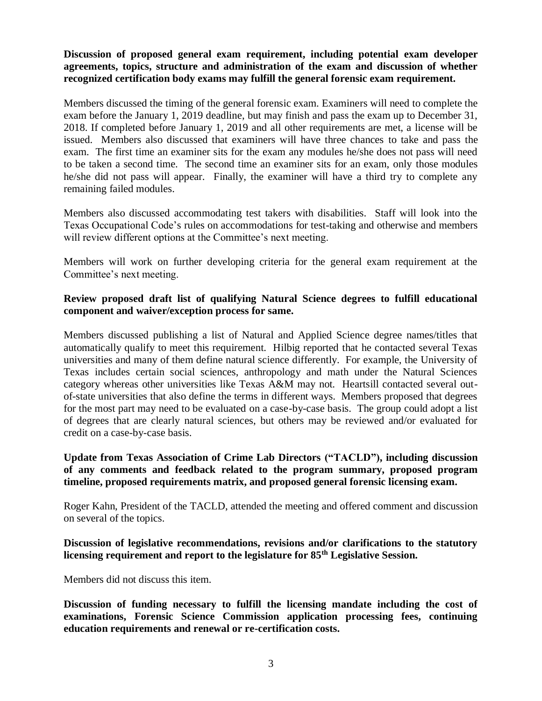**Discussion of proposed general exam requirement, including potential exam developer agreements, topics, structure and administration of the exam and discussion of whether recognized certification body exams may fulfill the general forensic exam requirement.**

Members discussed the timing of the general forensic exam. Examiners will need to complete the exam before the January 1, 2019 deadline, but may finish and pass the exam up to December 31, 2018. If completed before January 1, 2019 and all other requirements are met, a license will be issued. Members also discussed that examiners will have three chances to take and pass the exam. The first time an examiner sits for the exam any modules he/she does not pass will need to be taken a second time. The second time an examiner sits for an exam, only those modules he/she did not pass will appear. Finally, the examiner will have a third try to complete any remaining failed modules.

Members also discussed accommodating test takers with disabilities. Staff will look into the Texas Occupational Code's rules on accommodations for test-taking and otherwise and members will review different options at the Committee's next meeting.

Members will work on further developing criteria for the general exam requirement at the Committee's next meeting.

## **Review proposed draft list of qualifying Natural Science degrees to fulfill educational component and waiver/exception process for same.**

Members discussed publishing a list of Natural and Applied Science degree names/titles that automatically qualify to meet this requirement. Hilbig reported that he contacted several Texas universities and many of them define natural science differently. For example, the University of Texas includes certain social sciences, anthropology and math under the Natural Sciences category whereas other universities like Texas A&M may not. Heartsill contacted several outof-state universities that also define the terms in different ways. Members proposed that degrees for the most part may need to be evaluated on a case-by-case basis. The group could adopt a list of degrees that are clearly natural sciences, but others may be reviewed and/or evaluated for credit on a case-by-case basis.

## **Update from Texas Association of Crime Lab Directors ("TACLD"), including discussion of any comments and feedback related to the program summary, proposed program timeline, proposed requirements matrix, and proposed general forensic licensing exam.**

Roger Kahn, President of the TACLD, attended the meeting and offered comment and discussion on several of the topics.

# **Discussion of legislative recommendations, revisions and/or clarifications to the statutory licensing requirement and report to the legislature for 85th Legislative Session.**

Members did not discuss this item.

**Discussion of funding necessary to fulfill the licensing mandate including the cost of examinations, Forensic Science Commission application processing fees, continuing education requirements and renewal or re-certification costs.**